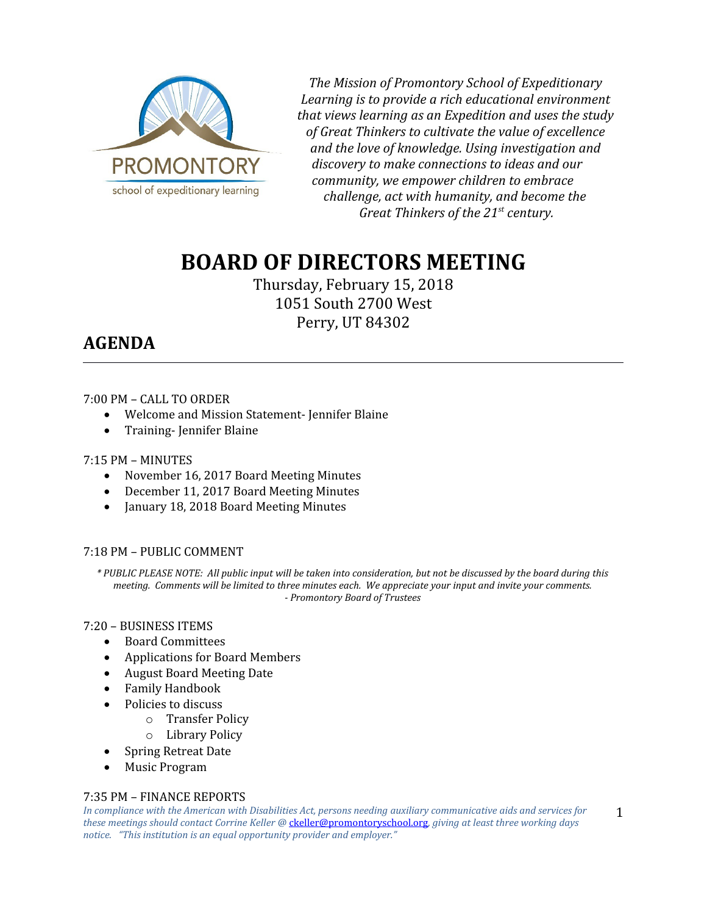

*The Mission of Promontory School of Expeditionary Learning is to provide a rich educational environment that views learning as an Expedition and uses the study of Great Thinkers to cultivate the value of excellence and the love of knowledge. Using investigation and discovery to make connections to ideas and our community, we empower children to embrace challenge, act with humanity, and become the Great Thinkers of the 21st century.*

# **BOARD OF DIRECTORS MEETING**

Thursday, February 15, 2018 1051 South 2700 West Perry, UT 84302

# **AGENDA**

# 7:00 PM – CALL TO ORDER

- Welcome and Mission Statement- Jennifer Blaine
- Training-Jennifer Blaine

# 7:15 PM – MINUTES

- November 16, 2017 Board Meeting Minutes
- December 11, 2017 Board Meeting Minutes
- January 18, 2018 Board Meeting Minutes

# 7:18 PM – PUBLIC COMMENT

*\* PUBLIC PLEASE NOTE: All public input will be taken into consideration, but not be discussed by the board during this meeting. Comments will be limited to three minutes each. We appreciate your input and invite your comments. - Promontory Board of Trustees*

# 7:20 – BUSINESS ITEMS

- Board Committees
- Applications for Board Members
- August Board Meeting Date
- Family Handbook
- Policies to discuss
	- o Transfer Policy
	- o Library Policy
	- Spring Retreat Date
- Music Program

# 7:35 PM – FINANCE REPORTS

*In compliance with the American with Disabilities Act, persons needing auxiliary communicative aids and services for these meetings should contact Corrine Keller @* [ckeller@promontoryschool.org](mailto:ckeller@promontoryschool.org)*, giving at least three working days notice. "This institution is an equal opportunity provider and employer."*

1